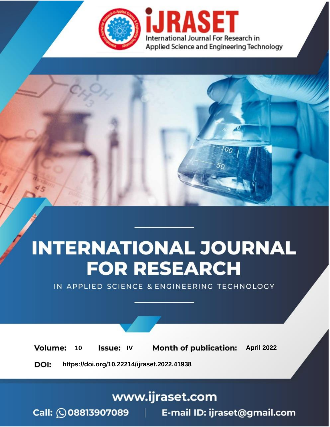

# **INTERNATIONAL JOURNAL FOR RESEARCH**

IN APPLIED SCIENCE & ENGINEERING TECHNOLOGY

10 **Issue: IV Month of publication:** April 2022 **Volume:** 

**https://doi.org/10.22214/ijraset.2022.41938**DOI:

www.ijraset.com

Call: 008813907089 | E-mail ID: ijraset@gmail.com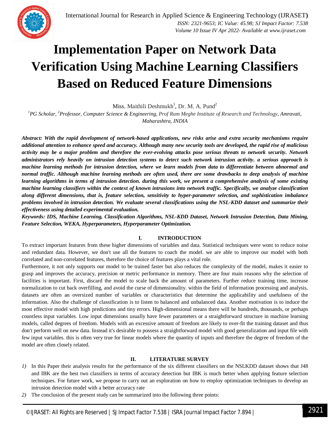### **Implementation Paper on Network Data Verification Using Machine Learning Classifiers Based on Reduced Feature Dimensions**

Miss. Maithili Deshmukh<sup>1</sup>, Dr. M. A. Pund<sup>2</sup>

*<sup>1</sup>PG Scholar, <sup>2</sup>Professor, Computer Science & Engineering, Prof Ram Meghe Institute of Research and Technology, Amravati, Maharashtra, INDIA*

*Abstract: With the rapid development of network-based applications, new risks arise and extra security mechanisms require additional attention to enhance speed and accuracy. Although many new security tools are developed, the rapid rise of malicious activity may be a major problem and therefore the ever-evolving attacks pose serious threats to network security. Network administrators rely heavily on intrusion detection systems to detect such network intrusion activity. a serious approach is machine learning methods for intrusion detection, where we learn models from data to differentiate between abnormal and normal traffic. Although machine learning methods are often used, there are some drawbacks to deep analysis of machine learning algorithms in terms of intrusion detection. during this work, we present a comprehensive analysis of some existing machine learning classifiers within the context of known intrusions into network traffic. Specifically, we analyze classification along different dimensions, that is, feature selection, sensitivity to hyper-parameter selection, and sophistication imbalance problems involved in intrusion detection. We evaluate several classifications using the NSL-KDD dataset and summarize their effectiveness using detailed experimental evaluation.*

*Keywords: IDS, Machine Learning, Classification Algorithms, NSL-KDD Dataset, Network Intrusion Detection, Data Mining, Feature Selection, WEKA, Hyperparameters, Hyperparameter Optimization.*

#### **I. INTRODUCTION**

To extract important features from these higher dimensions of variables and data. Statistical techniques were wont to reduce noise and redundant data. However, we don't use all the features to coach the model. we are able to improve our model with both correlated and non-correlated features, therefore the choice of features plays a vital role.

Furthermore, it not only supports our model to be trained faster but also reduces the complexity of the model, makes it easier to grasp and improves the accuracy, precision or metric performance in memory. There are four main reasons why the selection of facilities is important. First, discard the model to scale back the amount of parameters. Further reduce training time, increase normalization to cut back overfilling, and avoid the curse of dimensionality. within the field of information processing and analysis, datasets are often an oversized number of variables or characteristics that determine the applicability and usefulness of the information. Also the challenge of classification is to listen to balanced and unbalanced data. Another motivation is to induce the most effective model with high predictions and tiny errors. High-dimensional means there will be hundreds, thousands, or perhaps countless input variables. Low input dimensions usually have fewer parameters or a straightforward structure in machine learning models, called degrees of freedom. Models with an excessive amount of freedom are likely to over-fit the training dataset and thus don't perform well on new data. Instead it's desirable to possess a straightforward model with good generalization and input file with few input variables. this is often very true for linear models where the quantity of inputs and therefore the degree of freedom of the model are often closely related.

#### **II. LITERATURE SURVEY**

- *1)* In this Paper their analysis results for the performance of the six different classifiers on the NSLKDD dataset shows that J48 and IBK are the best two classifiers in terms of accuracy detection but IBK is much better when applying feature selection techniques. For future work, we propose to carry out an exploration on how to employ optimization techniques to develop an intrusion detection model with a better accuracy rate
- *2)* The conclusion of the present study can be summarized into the following three points: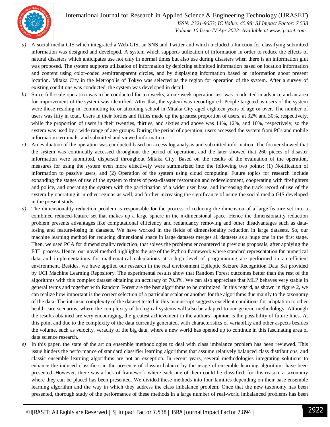International Journal for Research in Applied Science & Engineering Technology (IJRASET**)**



 *ISSN: 2321-9653; IC Value: 45.98; SJ Impact Factor: 7.538 Volume 10 Issue IV Apr 2022- Available at www.ijraset.com*

- *a)* A social media GIS which integrated a Web-GIS, an SNS and Twitter and which included a function for classifying submitted information was designed and developed. A system which supports utilization of information in order to reduce the effects of natural disasters which anticipates use not only in normal times but also use during disasters when there is an information glut was proposed. The system supports utilization of information by depicting submitted information based on location information and content using color-coded semitransparent circles, and by displaying information based on information about present location. Mitaka City in the Metropolis of Tokyo was selected as the region for operation of the system. After a survey of existing conditions was conducted, the system was developed in detail.
- *b)* Since full-scale operation was to be conducted for ten weeks, a one-week operation test was conducted in advance and an area for improvement of the system was identified. After that, the system was reconfigured. People targeted as users of the system were those residing in, commuting to, or attending school in Mitaka City aged eighteen years of age or over. The number of users was fifty in total. Users in their forties and fifties made up the greatest proportion of users, at 32% and 30%, respectively, while the proportion of users in their twenties, thirties, and sixties and above was 14%, 12%, and 10%, respectively, so the system was used by a wide range of age groups. During the period of operation, users accessed the system from PCs and mobile information terminals, and submitted and viewed information.
- *c)* An evaluation of the operation was conducted based on access log analysis and submitted information. The former showed that the system was continually accessed throughout the period of operation, and the later showed that 260 pieces of disaster information were submitted, dispersed throughout Mitaka City. Based on the results of the evaluation of the operation, measures for using the system even more effectively were summarized into the following two points: (1) Notification of information to passive users, and (2) Operation of the system using cloud computing. Future topics for research include expanding the stages of use of the system to times of post-disaster restoration and redevelopment, cooperating with firefighters and police, and operating the system with the participation of a wider user base, and increasing the track record of use of the system by operating it in other regions as well, and further increasing the significance of using the social media GIS developed in the present study
- *d)* The dimensionality reduction problem is responsible for the process of reducing the dimension of a large feature set into a combined reduced-feature set that makes up a large sphere in the n-dimensional space. Hence the dimensionality reduction problem presents advantages like computational efficiency and redundancy removing and other disadvantages such as datalosing and feature-losing in datasets. We have worked in the fields of dimensionality reduction in large datasets. So, our machine learning method for reducing dimensional space in large datasets merges all datasets as a huge one in the first stage. Then, we used PCA for dimensionality reduction, that solves the problems encountered in previous proposals, after applying the ETL process. Hence, our novel method highlights the use of the Python framework where standard representation for numerical data and implementations for mathematical calculations at a high level of programming are performed in an efficient environment. Besides, we have applied our research in the real environment Epileptic Seizure Recognition Data Set provided by UCI Machine Learning Repository. The experimental results show that Random Forest outcomes better than the rest of the algorithms with this complex dataset obtaining an accuracy of 70.3%. We can also appreciate that MLP behaves very stable in general terms and together with Random Forest are the best algorithms to be optimized. In this regard, as shown in figure 2, we can realize how important is the correct selection of a particular scalar or another for the algorithms due mainly to the taxonomy of the data. The intrinsic complexity of the dataset tested in this manuscript suggests excellent conditions for adaptation to other health care scenarios, where the complexity of biological systems will also be adapted to our generic methodology. Although the results obtained are very encouraging, the greatest achievement in the authors' opinion is the possibility of future lines. At this point and due to the complexity of the data currently generated, with characteristics of variability and other aspects besides the volume, such as velocity, veracity of the big data, where a new world has opened up to continue in this fascinating area of data science research.
- *e)* In this paper, the state of the art on ensemble methodologies to deal with class imbalance problem has been reviewed. This issue hinders the performance of standard classifier learning algorithms that assume relatively balanced class distributions, and classic ensemble learning algorithms are not an exception. In recent years, several methodologies integrating solutions to enhance the induced classifiers in the presence of classim balance by the usage of ensemble learning algorithms have been presented. However, there was a lack of framework where each one of them could be classified; for this reason, a taxonomy where they can be placed has been presented. We divided these methods into four families depending on their base ensemble learning algorithm and the way in which they address the class imbalance problem. Once that the new taxonomy has been presented, thorough study of the performance of these methods in a large number of real-world imbalanced problems has been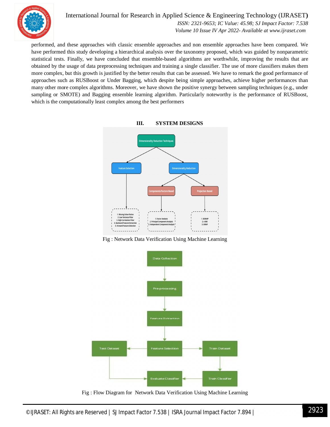

International Journal for Research in Applied Science & Engineering Technology (IJRASET**)**  *ISSN: 2321-9653; IC Value: 45.98; SJ Impact Factor: 7.538*

 *Volume 10 Issue IV Apr 2022- Available at www.ijraset.com*

performed, and these approaches with classic ensemble approaches and non ensemble approaches have been compared. We have performed this study developing a hierarchical analysis over the taxonomy proposed, which was guided by nonparametric statistical tests. Finally, we have concluded that ensemble-based algorithms are worthwhile, improving the results that are obtained by the usage of data preprocessing techniques and training a single classifier. The use of more classifiers makes them more complex, but this growth is justified by the better results that can be assessed. We have to remark the good performance of approaches such as RUSBoost or Under Bagging, which despite being simple approaches, achieve higher performances than many other more complex algorithms. Moreover, we have shown the positive synergy between sampling techniques (e.g., under sampling or SMOTE) and Bagging ensemble learning algorithm. Particularly noteworthy is the performance of RUSBoost, which is the computationally least complex among the best performers

**III. SYSTEM DESIGNS**



Fig : Network Data Verification Using Machine Learning



Fig : Flow Diagram for Network Data Verification Using Machine Learning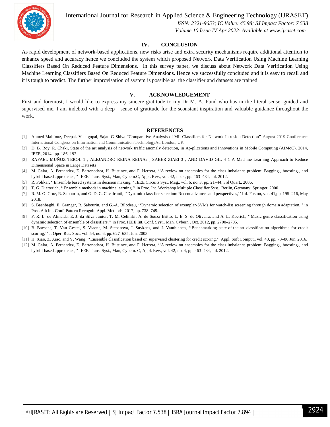

International Journal for Research in Applied Science & Engineering Technology (IJRASET**)**

 *ISSN: 2321-9653; IC Value: 45.98; SJ Impact Factor: 7.538 Volume 10 Issue IV Apr 2022- Available at www.ijraset.com*

#### **IV. CONCLUSION**

As rapid development of network-based applications, new risks arise and extra security mechanisms require additional attention to enhance speed and accuracy hence we concluded the system which proposed Network Data Verification Using Machine Learning Classifiers Based On Reduced Feature Dimensions. In this survey paper, we discuss about Network Data Verification Using Machine Learning Classifiers Based On Reduced Feature Dimensions. Hence we successfully concluded and it is easy to recall and it is tough to predict. The further improvisation of system is possible as the classifier and datasets are trained.

#### **V. ACKNOWLEDGEMENT**

First and foremost, I would like to express my sincere gratitude to my Dr M. A. Pund who has in the literal sense, guided and supervised me. I am indebted with a deep sense of gratitude for the sconstant inspiration and valuable guidance throughout the work.

#### **REFERENCES**

- [1] Ahmed Mahfouz, Deepak Venugopal, Sajan G Shiva "Comparative Analysis of ML Classifiers for Network Intrusion Detection**"** August 2019 Conference: International Congress on Information and Communication TechnologyAt: London, UK
- [2] D. B. Roy, R. Chaki, State of the art analysis of network traffic anomaly detection, in Ap-plications and Innovations in Mobile Computing (AIMoC), 2014, IEEE, 2014, pp. 186–192.
- [3] RAFAEL MUÑOZ TEROL 1 , ALEJANDRO REINA REINA2 , SABER ZIAEI 3 , AND DAVID GIL 4 1 A Machine Learning Approach to Reduce Dimensional Space in Large Datasets
- [4] M. Galar, A. Fernandez, E. Barrenechea, H. Bustince, and F. Herrera, ''A review on ensembles for the class imbalance problem: Bagging-, boosting-, and hybrid-based approaches,'' IEEE Trans. Syst., Man, Cybern.C, Appl. Rev., vol. 42, no. 4, pp. 463–484, Jul. 2012.
- [5] R. Polikar, ''Ensemble based systems in decision making,'' IEEE Circuits Syst. Mag., vol. 6, no. 3, pp. 21–44, 3rd Quart., 2006.
- [6] T. G. Dietterich, ''Ensemble methods in machine learning,'' in Proc. Int. Workshop Multiple Classifier Syst.. Berlin, Germany: Springer, 2000
- [7] R. M. O. Cruz, R. Sabourin, and G. D. C. Cavalcanti, ''Dynamic classifier selection: Recent advances and perspectives,'' Inf. Fusion, vol. 41,pp. 195–216, May 2018.
- [8] S. Bashbaghi, E. Granger, R. Sabourin, and G.-A. Bilodeau, ''Dynamic selection of exemplar-SVMs for watch-list screening through domain adaptation,'' in Proc. 6th Int. Conf. Pattern Recognit. Appl. Methods, 2017, pp. 738–745.
- [9] P. R. L. de Almeida, E. J. da Silva Junior, T. M. Celinski, A. de Souza Britto, L. E. S. de Oliveira, and A. L. Koerich, ''Music genre classification using dynamic selection of ensemble of classifiers,'' in Proc. IEEE Int. Conf. Syst., Man, Cybern., Oct. 2012, pp. 2700–2705.
- [10] B. Baesens, T. Van Gestel, S. Viaene, M. Stepanova, J. Suykens, and J. Vanthienen, "Benchmarking state-of-the-art classification algorithms for credit scoring,'' J. Oper. Res. Soc., vol. 54, no. 6, pp. 627–635, Jun. 2003.
- [11] H. Xiao, Z. Xiao, and Y. Wang, ''Ensemble classification based on supervised clustering for credit scoring,'' Appl. Soft Comput., vol. 43, pp. 73–86,Jun. 2016.
- [12] M. Galar, A. Fernandez, E. Barrenechea, H. Bustince, and F. Herrera, "A review on ensembles for the class imbalance problem: Bagging-, boosting-, and hybrid-based approaches,'' IEEE Trans. Syst., Man, Cybern. C, Appl. Rev., vol. 42, no. 4, pp. 463–484, Jul. 2012.